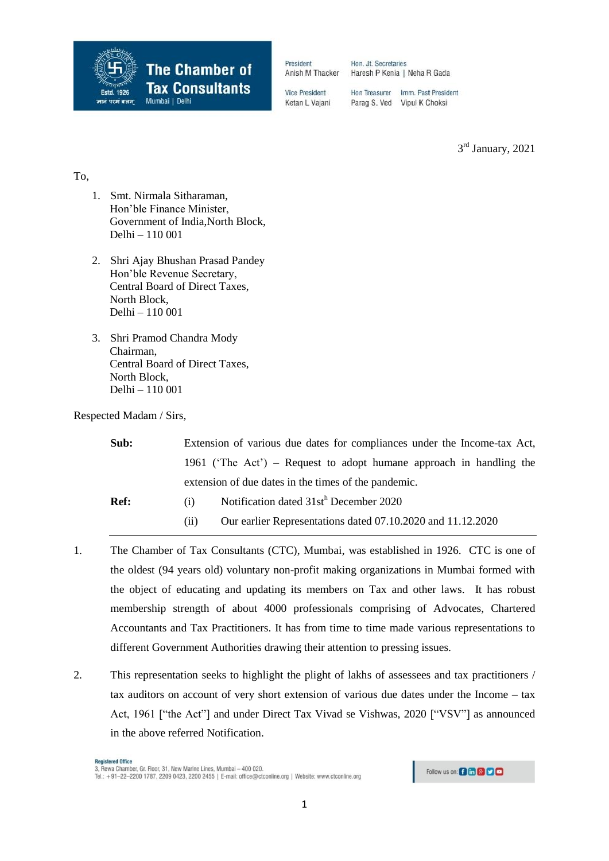

Hon. Jt. Secretaries Haresh P Kenia | Neha R Gada

**Vice President** Ketan L Vajani

Hon Treasurer Imm. Past President Parag S. Ved Vipul K Choksi

3<sup>rd</sup> January, 2021

## To,

- 1. Smt. Nirmala Sitharaman, Hon'ble Finance Minister, Government of India,North Block, Delhi – 110 001
- 2. Shri Ajay Bhushan Prasad Pandey Hon'ble Revenue Secretary, Central Board of Direct Taxes, North Block, Delhi – 110 001
- 3. Shri Pramod Chandra Mody Chairman, Central Board of Direct Taxes, North Block, Delhi – 110 001

Respected Madam / Sirs,

| Sub:        |      | Extension of various due dates for compliances under the Income-tax Act, |  |
|-------------|------|--------------------------------------------------------------------------|--|
|             |      | 1961 ('The Act') – Request to adopt humane approach in handling the      |  |
|             |      | extension of due dates in the times of the pandemic.                     |  |
| <b>Ref:</b> | (1)  | Notification dated 31sth December 2020                                   |  |
|             | (11) | Our earlier Representations dated 07.10.2020 and 11.12.2020              |  |

- 1. The Chamber of Tax Consultants (CTC), Mumbai, was established in 1926. CTC is one of the oldest (94 years old) voluntary non-profit making organizations in Mumbai formed with the object of educating and updating its members on Tax and other laws. It has robust membership strength of about 4000 professionals comprising of Advocates, Chartered Accountants and Tax Practitioners. It has from time to time made various representations to different Government Authorities drawing their attention to pressing issues.
- 2. This representation seeks to highlight the plight of lakhs of assessees and tax practitioners / tax auditors on account of very short extension of various due dates under the Income – tax Act, 1961 ["the Act"] and under Direct Tax Vivad se Vishwas, 2020 ["VSV"] as announced in the above referred Notification.

Follow us on: **Bin 8 9 0**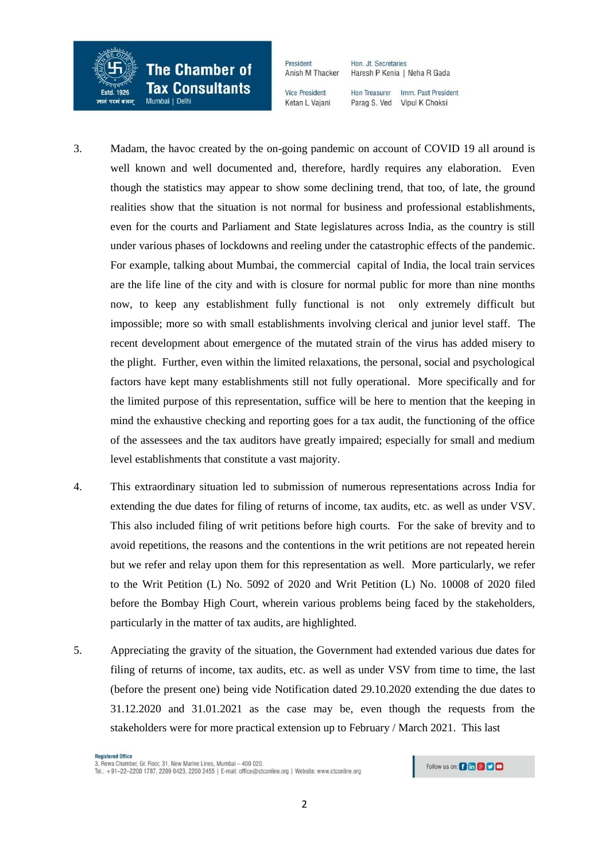

President Hon. Jt. Secretaries Anish M Thacker

**Vice President** Ketan L Vajani Haresh P Kenia | Neha R Gada Hon Treasurer Imm. Past President

Parag S. Ved Vipul K Choksi

- 3. Madam, the havoc created by the on-going pandemic on account of COVID 19 all around is well known and well documented and, therefore, hardly requires any elaboration. Even though the statistics may appear to show some declining trend, that too, of late, the ground realities show that the situation is not normal for business and professional establishments, even for the courts and Parliament and State legislatures across India, as the country is still under various phases of lockdowns and reeling under the catastrophic effects of the pandemic. For example, talking about Mumbai, the commercial capital of India, the local train services are the life line of the city and with is closure for normal public for more than nine months now, to keep any establishment fully functional is not only extremely difficult but impossible; more so with small establishments involving clerical and junior level staff. The recent development about emergence of the mutated strain of the virus has added misery to the plight. Further, even within the limited relaxations, the personal, social and psychological factors have kept many establishments still not fully operational. More specifically and for the limited purpose of this representation, suffice will be here to mention that the keeping in mind the exhaustive checking and reporting goes for a tax audit, the functioning of the office of the assessees and the tax auditors have greatly impaired; especially for small and medium level establishments that constitute a vast majority.
- 4. This extraordinary situation led to submission of numerous representations across India for extending the due dates for filing of returns of income, tax audits, etc. as well as under VSV. This also included filing of writ petitions before high courts. For the sake of brevity and to avoid repetitions, the reasons and the contentions in the writ petitions are not repeated herein but we refer and relay upon them for this representation as well. More particularly, we refer to the Writ Petition (L) No. 5092 of 2020 and Writ Petition (L) No. 10008 of 2020 filed before the Bombay High Court, wherein various problems being faced by the stakeholders, particularly in the matter of tax audits, are highlighted.
- 5. Appreciating the gravity of the situation, the Government had extended various due dates for filing of returns of income, tax audits, etc. as well as under VSV from time to time, the last (before the present one) being vide Notification dated 29.10.2020 extending the due dates to 31.12.2020 and 31.01.2021 as the case may be, even though the requests from the stakeholders were for more practical extension up to February / March 2021. This last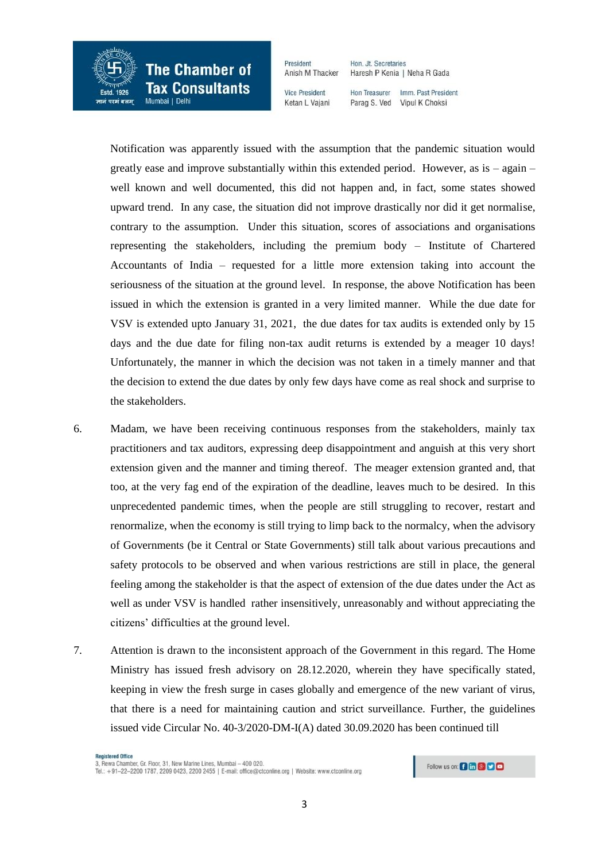

**The Chamber of Tax Consultants** 

President Anish M Thacker

**Vice President** Ketan L Vaiani Haresh P Kenia | Neha R Gada

Hon Treasurer Imm. Past President Parag S. Ved Vipul K Choksi

Hon. Jt. Secretaries

 Notification was apparently issued with the assumption that the pandemic situation would greatly ease and improve substantially within this extended period. However, as is  $-$  again  $$ well known and well documented, this did not happen and, in fact, some states showed upward trend. In any case, the situation did not improve drastically nor did it get normalise, contrary to the assumption. Under this situation, scores of associations and organisations representing the stakeholders, including the premium body – Institute of Chartered Accountants of India – requested for a little more extension taking into account the seriousness of the situation at the ground level. In response, the above Notification has been issued in which the extension is granted in a very limited manner. While the due date for VSV is extended upto January 31, 2021, the due dates for tax audits is extended only by 15 days and the due date for filing non-tax audit returns is extended by a meager 10 days! Unfortunately, the manner in which the decision was not taken in a timely manner and that the decision to extend the due dates by only few days have come as real shock and surprise to the stakeholders.

- 6. Madam, we have been receiving continuous responses from the stakeholders, mainly tax practitioners and tax auditors, expressing deep disappointment and anguish at this very short extension given and the manner and timing thereof. The meager extension granted and, that too, at the very fag end of the expiration of the deadline, leaves much to be desired. In this unprecedented pandemic times, when the people are still struggling to recover, restart and renormalize, when the economy is still trying to limp back to the normalcy, when the advisory of Governments (be it Central or State Governments) still talk about various precautions and safety protocols to be observed and when various restrictions are still in place, the general feeling among the stakeholder is that the aspect of extension of the due dates under the Act as well as under VSV is handled rather insensitively, unreasonably and without appreciating the citizens' difficulties at the ground level.
- 7. Attention is drawn to the inconsistent approach of the Government in this regard. The Home Ministry has issued fresh advisory on 28.12.2020, wherein they have specifically stated, keeping in view the fresh surge in cases globally and emergence of the new variant of virus, that there is a need for maintaining caution and strict surveillance. Further, the guidelines issued vide Circular No. 40-3/2020-DM-I(A) dated 30.09.2020 has been continued till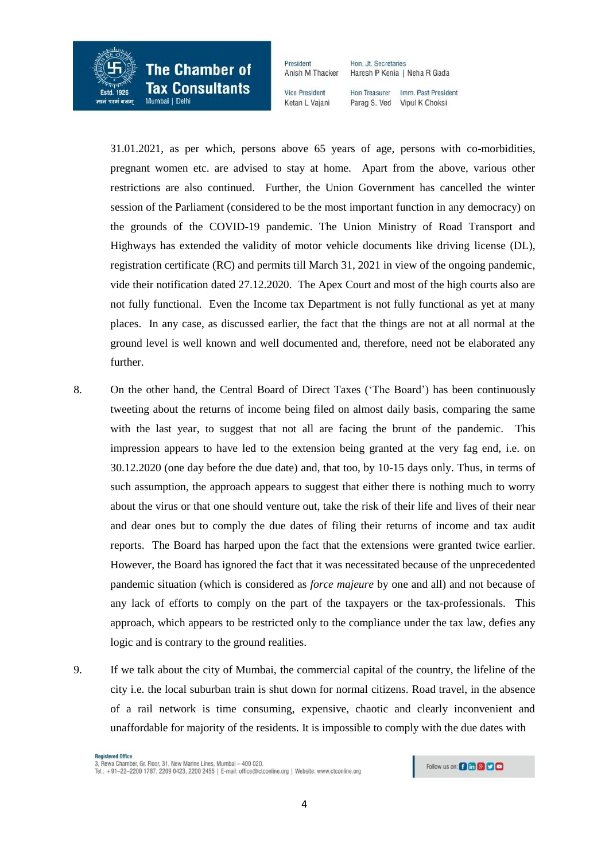

**The Chamber of Tax Consultants** 

President Anish M Thacker

**Vice President** Ketan L Vaiani Haresh P Kenia | Neha R Gada Imm. Past President

Hon Treasurer Parag S. Ved Vipul K Choksi

Hon. Jt. Secretaries

 31.01.2021, as per which, persons above 65 years of age, persons with co-morbidities, pregnant women etc. are advised to stay at home. Apart from the above, various other restrictions are also continued. Further, the Union Government has cancelled the winter session of the Parliament (considered to be the most important function in any democracy) on the grounds of the COVID-19 pandemic. The Union Ministry of Road Transport and Highways has extended the validity of motor vehicle documents like driving license (DL), registration certificate (RC) and permits till March 31, 2021 in view of the ongoing pandemic, vide their notification dated 27.12.2020. The Apex Court and most of the high courts also are not fully functional. Even the Income tax Department is not fully functional as yet at many places. In any case, as discussed earlier, the fact that the things are not at all normal at the ground level is well known and well documented and, therefore, need not be elaborated any further.

- 8. On the other hand, the Central Board of Direct Taxes ('The Board') has been continuously tweeting about the returns of income being filed on almost daily basis, comparing the same with the last year, to suggest that not all are facing the brunt of the pandemic. This impression appears to have led to the extension being granted at the very fag end, i.e. on 30.12.2020 (one day before the due date) and, that too, by 10-15 days only. Thus, in terms of such assumption, the approach appears to suggest that either there is nothing much to worry about the virus or that one should venture out, take the risk of their life and lives of their near and dear ones but to comply the due dates of filing their returns of income and tax audit reports. The Board has harped upon the fact that the extensions were granted twice earlier. However, the Board has ignored the fact that it was necessitated because of the unprecedented pandemic situation (which is considered as *force majeure* by one and all) and not because of any lack of efforts to comply on the part of the taxpayers or the tax-professionals. This approach, which appears to be restricted only to the compliance under the tax law, defies any logic and is contrary to the ground realities.
- 9. If we talk about the city of Mumbai, the commercial capital of the country, the lifeline of the city i.e. the local suburban train is shut down for normal citizens. Road travel, in the absence of a rail network is time consuming, expensive, chaotic and clearly inconvenient and unaffordable for majority of the residents. It is impossible to comply with the due dates with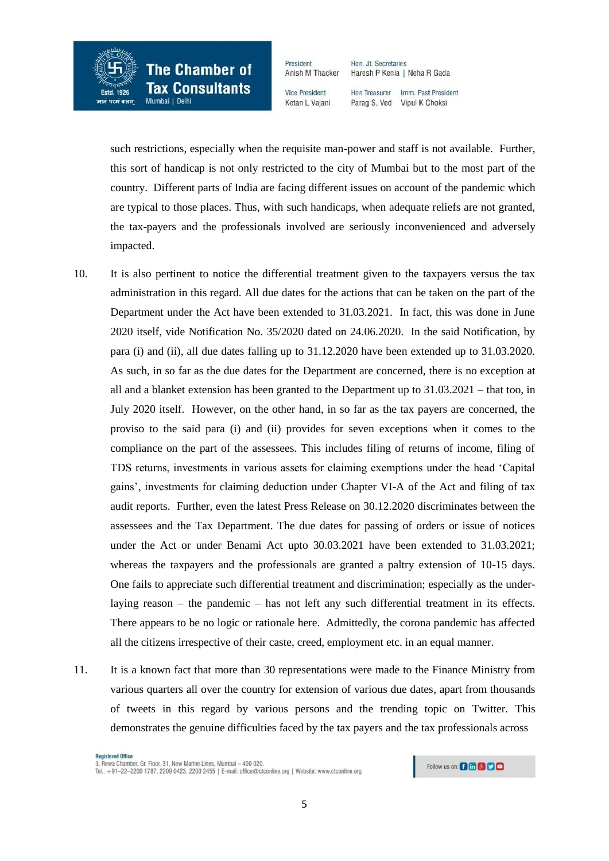

President Hon. Jt. Secretaries Anish M Thacker

**Vice President** Ketan L Vajani Haresh P Kenia | Neha R Gada Imm. Past President

Hon Treasurer Parag S. Ved Vipul K Choksi

 such restrictions, especially when the requisite man-power and staff is not available. Further, this sort of handicap is not only restricted to the city of Mumbai but to the most part of the country. Different parts of India are facing different issues on account of the pandemic which are typical to those places. Thus, with such handicaps, when adequate reliefs are not granted, the tax-payers and the professionals involved are seriously inconvenienced and adversely impacted.

- 10. It is also pertinent to notice the differential treatment given to the taxpayers versus the tax administration in this regard. All due dates for the actions that can be taken on the part of the Department under the Act have been extended to 31.03.2021. In fact, this was done in June 2020 itself, vide Notification No. 35/2020 dated on 24.06.2020. In the said Notification, by para (i) and (ii), all due dates falling up to 31.12.2020 have been extended up to 31.03.2020. As such, in so far as the due dates for the Department are concerned, there is no exception at all and a blanket extension has been granted to the Department up to  $31.03.2021$  – that too, in July 2020 itself. However, on the other hand, in so far as the tax payers are concerned, the proviso to the said para (i) and (ii) provides for seven exceptions when it comes to the compliance on the part of the assessees. This includes filing of returns of income, filing of TDS returns, investments in various assets for claiming exemptions under the head 'Capital gains', investments for claiming deduction under Chapter VI-A of the Act and filing of tax audit reports. Further, even the latest Press Release on 30.12.2020 discriminates between the assessees and the Tax Department. The due dates for passing of orders or issue of notices under the Act or under Benami Act upto 30.03.2021 have been extended to 31.03.2021; whereas the taxpayers and the professionals are granted a paltry extension of 10-15 days. One fails to appreciate such differential treatment and discrimination; especially as the underlaying reason – the pandemic – has not left any such differential treatment in its effects. There appears to be no logic or rationale here. Admittedly, the corona pandemic has affected all the citizens irrespective of their caste, creed, employment etc. in an equal manner.
- 11. It is a known fact that more than 30 representations were made to the Finance Ministry from various quarters all over the country for extension of various due dates, apart from thousands of tweets in this regard by various persons and the trending topic on Twitter. This demonstrates the genuine difficulties faced by the tax payers and the tax professionals across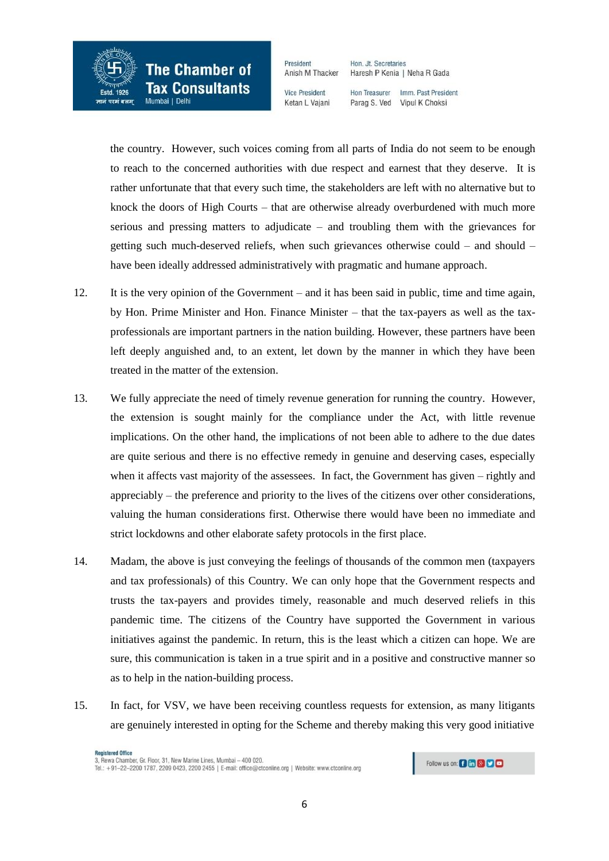

President Anish M Thacker

Hon. Jt. Secretaries Haresh P Kenia | Neha R Gada

**Vice President** Ketan L Vaiani Hon Treasurer Imm. Past President Parag S. Ved Vipul K Choksi

 the country. However, such voices coming from all parts of India do not seem to be enough to reach to the concerned authorities with due respect and earnest that they deserve. It is rather unfortunate that that every such time, the stakeholders are left with no alternative but to knock the doors of High Courts – that are otherwise already overburdened with much more serious and pressing matters to adjudicate – and troubling them with the grievances for getting such much-deserved reliefs, when such grievances otherwise could – and should – have been ideally addressed administratively with pragmatic and humane approach.

- 12. It is the very opinion of the Government and it has been said in public, time and time again, by Hon. Prime Minister and Hon. Finance Minister – that the tax-payers as well as the taxprofessionals are important partners in the nation building. However, these partners have been left deeply anguished and, to an extent, let down by the manner in which they have been treated in the matter of the extension.
- 13. We fully appreciate the need of timely revenue generation for running the country. However, the extension is sought mainly for the compliance under the Act, with little revenue implications. On the other hand, the implications of not been able to adhere to the due dates are quite serious and there is no effective remedy in genuine and deserving cases, especially when it affects vast majority of the assessees. In fact, the Government has given – rightly and appreciably – the preference and priority to the lives of the citizens over other considerations, valuing the human considerations first. Otherwise there would have been no immediate and strict lockdowns and other elaborate safety protocols in the first place.
- 14. Madam, the above is just conveying the feelings of thousands of the common men (taxpayers and tax professionals) of this Country. We can only hope that the Government respects and trusts the tax-payers and provides timely, reasonable and much deserved reliefs in this pandemic time. The citizens of the Country have supported the Government in various initiatives against the pandemic. In return, this is the least which a citizen can hope. We are sure, this communication is taken in a true spirit and in a positive and constructive manner so as to help in the nation-building process.
- 15. In fact, for VSV, we have been receiving countless requests for extension, as many litigants are genuinely interested in opting for the Scheme and thereby making this very good initiative